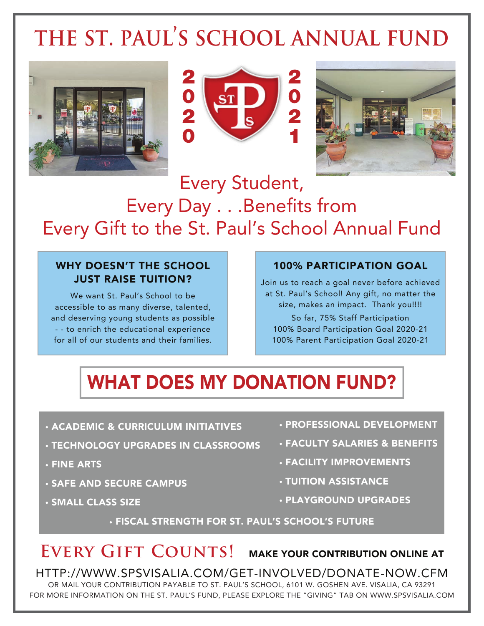# **the st. paul's school annual fund**







## Every Student, Every Day . . .Benefits from Every Gift to the St. Paul's School Annual Fund

#### WHY DOESN'T THE SCHOOL JUST RAISE TUITION?

We want St. Paul's School to be accessible to as many diverse, talented, and deserving young students as possible - - to enrich the educational experience for all of our students and their families.

#### 100% PARTICIPATION GOAL

Join us to reach a goal never before achieved at St. Paul's School! Any gift, no matter the size, makes an impact. Thank you!!!! So far, 75% Staff Participation 100% Board Participation Goal 2020-21 100% Parent Participation Goal 2020-21

## WHAT DOES MY DONATION FUND?

- ACADEMIC & CURRICULUM INITIATIVES
- TECHNOLOGY UPGRADES IN CLASSROOMS
- FINE ARTS
- SAFE AND SECURE CAMPUS
- SMALL CLASS SIZE
- PROFESSIONAL DEVELOPMENT
- FACULTY SALARIES & BENEFITS
- FACILITY IMPROVEMENTS
- TUITION ASSISTANCE
- PLAYGROUND UPGRADES

• FISCAL STRENGTH FOR ST. PAUL'S SCHOOL'S FUTURE

### **EVERY GIFT COUNTS! MAKE YOUR CONTRIBUTION ONLINE AT**

HTTP://WWW.SPSVISALIA.COM/GET-INVOLVED/DONATE-NOW.CFM OR MAIL YOUR CONTRIBUTION PAYABLE TO ST. PAUL'S SCHOOL, 6101 W. GOSHEN AVE. VISALIA, CA 93291 FOR MORE INFORMATION ON THE ST. PAUL'S FUND, PLEASE EXPLORE THE "GIVING" TAB ON WWW.SPSVISALIA.COM